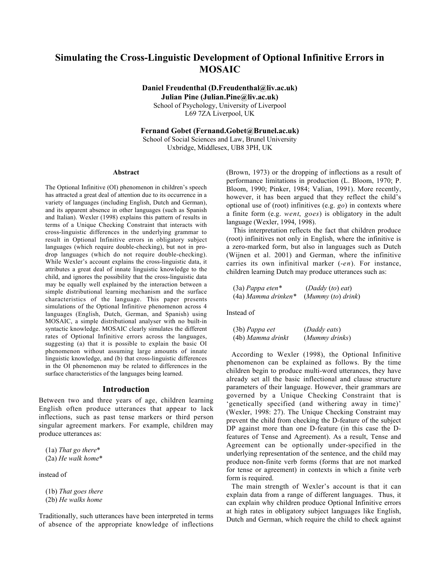# Simulating the Cross-Linguistic Development of Optional Infinitive Errors in MOSAIC

Daniel Freudenthal (D.Freudenthal@liv.ac.uk) Julian Pine (Julian.Pine@liv.ac.uk) School of Psychology, University of Liverpool L69 7ZA Liverpool, UK

Fernand Gobet (Fernand.Gobet@Brunel.ac.uk)

School of Social Sciences and Law, Brunel University Uxbridge, Middlesex, UB8 3PH, UK

#### Abstract

The Optional Infinitive (OI) phenomenon in children's speech has attracted a great deal of attention due to its occurrence in a variety of languages (including English, Dutch and German), and its apparent absence in other languages (such as Spanish and Italian). Wexler (1998) explains this pattern of results in terms of a Unique Checking Constraint that interacts with cross-linguistic differences in the underlying grammar to result in Optional Infinitive errors in obligatory subject languages (which require double-checking), but not in prodrop languages (which do not require double-checking). While Wexler's account explains the cross-linguistic data, it attributes a great deal of innate linguistic knowledge to the child, and ignores the possibility that the cross-linguistic data may be equally well explained by the interaction between a simple distributional learning mechanism and the surface characteristics of the language. This paper presents simulations of the Optional Infinitive phenomenon across 4 languages (English, Dutch, German, and Spanish) using MOSAIC, a simple distributional analyser with no built-in syntactic knowledge. MOSAIC clearly simulates the different rates of Optional Infinitive errors across the languages, suggesting (a) that it is possible to explain the basic OI phenomenon without assuming large amounts of innate linguistic knowledge, and (b) that cross-linguistic differences in the OI phenomenon may be related to differences in the surface characteristics of the languages being learned.

#### Introduction

Between two and three years of age, children learning English often produce utterances that appear to lack inflections, such as past tense markers or third person singular agreement markers. For example, children may produce utterances as:

(1a) *That go there*\* (2a) *He walk home*\*

instead of

(1b) *That goes there* (2b) *He walks home*

Traditionally, such utterances have been interpreted in terms of absence of the appropriate knowledge of inflections (Brown, 1973) or the dropping of inflections as a result of performance limitations in production (L. Bloom, 1970; P. Bloom, 1990; Pinker, 1984; Valian, 1991). More recently, however, it has been argued that they reflect the child's optional use of (root) infinitives (e.g. *go*) in contexts where a finite form (e.g. *went*, *goes*) is obligatory in the adult language (Wexler, 1994, 1998).

This interpretation reflects the fact that children produce (root) infinitives not only in English, where the infinitive is a zero-marked form, but also in languages such as Dutch (Wijnen et al. 2001) and German, where the infinitive carries its own infinitival marker (-*en*). For instance, children learning Dutch may produce utterances such as:

| $(3a)$ Pappa eten*    | (Daddy (to) eat)   |
|-----------------------|--------------------|
| $(4a)$ Mamma drinken* | (Mummy (to) drink) |

Instead of

| $(3b)$ Pappa eet  | (Daddy eats)   |
|-------------------|----------------|
| (4b) Mamma drinkt | (Mummy drinks) |

According to Wexler (1998), the Optional Infinitive phenomenon can be explained as follows. By the time children begin to produce multi-word utterances, they have already set all the basic inflectional and clause structure parameters of their language. However, their grammars are governed by a Unique Checking Constraint that is 'genetically specified (and withering away in time)' (Wexler, 1998: 27). The Unique Checking Constraint may prevent the child from checking the D-feature of the subject DP against more than one D-feature (in this case the Dfeatures of Tense and Agreement). As a result, Tense and Agreement can be optionally under-specified in the underlying representation of the sentence, and the child may produce non-finite verb forms (forms that are not marked for tense or agreement) in contexts in which a finite verb form is required.

The main strength of Wexler's account is that it can explain data from a range of different languages. Thus, it can explain why children produce Optional Infinitive errors at high rates in obligatory subject languages like English, Dutch and German, which require the child to check against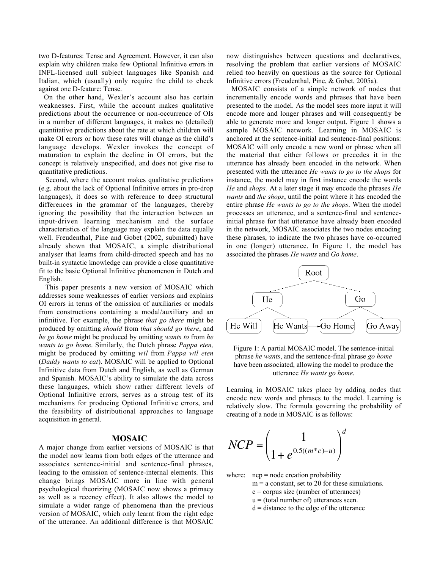two D-features: Tense and Agreement. However, it can also explain why children make few Optional Infinitive errors in INFL-licensed null subject languages like Spanish and Italian, which (usually) only require the child to check against one D-feature: Tense.

On the other hand, Wexler's account also has certain weaknesses. First, while the account makes qualitative predictions about the occurrence or non-occurrence of OIs in a number of different languages, it makes no (detailed) quantitative predictions about the rate at which children will make OI errors or how these rates will change as the child's language develops. Wexler invokes the concept of maturation to explain the decline in OI errors, but the concept is relatively unspecified, and does not give rise to quantitative predictions.

Second, where the account makes qualitative predictions (e.g. about the lack of Optional Infinitive errors in pro-drop languages), it does so with reference to deep structural differences in the grammar of the languages, thereby ignoring the possibility that the interaction between an input-driven learning mechanism and the surface characteristics of the language may explain the data equally well. Freudenthal, Pine and Gobet (2002, submitted) have already shown that MOSAIC, a simple distributional analyser that learns from child-directed speech and has no built-in syntactic knowledge can provide a close quantitative fit to the basic Optional Infinitive phenomenon in Dutch and English.

This paper presents a new version of MOSAIC which addresses some weaknesses of earlier versions and explains OI errors in terms of the omission of auxiliaries or modals from constructions containing a modal/auxiliary and an infinitive. For example, the phrase *that go there* might be produced by omitting *should* from *that should go there*, and *he go home* might be produced by omitting *wants to* from *he wants to go home*. Similarly, the Dutch phrase *Pappa eten,* might be produced by omitting *wil* from *Pappa wil eten* (*Daddy wants to eat*). MOSAIC will be applied to Optional Infinitive data from Dutch and English, as well as German and Spanish. MOSAIC's ability to simulate the data across these languages, which show rather different levels of Optional Infinitive errors, serves as a strong test of its mechanisms for producing Optional Infinitive errors, and the feasibility of distributional approaches to language acquisition in general.

## MOSAIC

A major change from earlier versions of MOSAIC is that the model now learns from both edges of the utterance and associates sentence-initial and sentence-final phrases, leading to the omission of sentence-internal elements. This change brings MOSAIC more in line with general psychological theorizing (MOSAIC now shows a primacy as well as a recency effect). It also allows the model to simulate a wider range of phenomena than the previous simulate a wider range of phenomena than the previous<br>version of MOSAIC, which only learnt from the right edge of the utterance. An additional difference is that MOSAIC

now distinguishes between questions and declaratives, resolving the problem that earlier versions of MOSAIC relied too heavily on questions as the source for Optional Infinitive errors (Freudenthal, Pine, & Gobet, 2005a).

MOSAIC consists of a simple network of nodes that incrementally encode words and phrases that have been presented to the model. As the model sees more input it will encode more and longer phrases and will consequently be able to generate more and longer output. Figure 1 shows a sample MOSAIC network. Learning in MOSAIC is anchored at the sentence-initial and sentence-final positions: MOSAIC will only encode a new word or phrase when all the material that either follows or precedes it in the utterance has already been encoded in the network. When presented with the utterance *He wants to go to the shops* for instance, the model may in first instance encode the words *He* and *shops.* At a later stage it may encode the phrases *He wants* and *the shops*, until the point where it has encoded the entire phrase *He wants to go to the shops*. When the model processes an utterance, and a sentence-final and sentenceinitial phrase for that utterance have already been encoded in the network, MOSAIC associates the two nodes encoding these phrases, to indicate the two phrases have co-occurred in one (longer) utterance. In Figure 1, the model has associated the phrases *He wants* and *Go home*.



Figure 1: A partial MOSAIC model. The sentence-initial phrase *he wants*, and the sentence-final phrase *go home* have been associated, allowing the model to produce the utterance *He wants go home*.

Learning in MOSAIC takes place by adding nodes that encode new words and phrases to the model. Learning is relatively slow. The formula governing the probability of creating of a node in MOSAIC is as follows:

$$
NCP = \left(\frac{1}{1 + e^{0.5((m^*c) - u)}}\right)^d
$$

where:  $ncp = node creation probability$ 

- $m = a$  constant, set to 20 for these simulations.
	- $c =$  corpus size (number of utterances)
	- $u =$  (total number of) utterances seen.
	- $d =$  distance to the edge of the utterance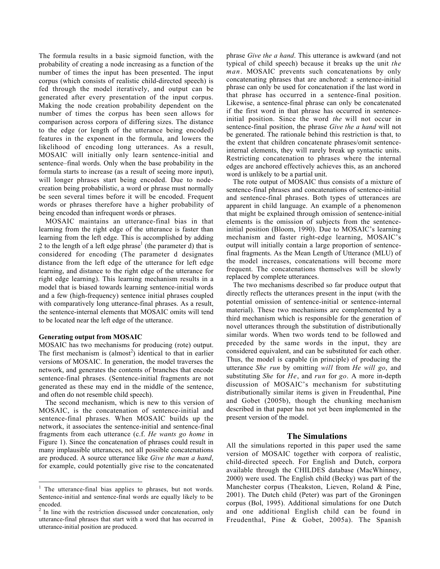The formula results in a basic sigmoid function, with the probability of creating a node increasing as a function of the number of times the input has been presented. The input corpus (which consists of realistic child-directed speech) is fed through the model iteratively, and output can be generated after every presentation of the input corpus. Making the node creation probability dependent on the number of times the corpus has been seen allows for comparison across corpora of differing sizes. The distance to the edge (or length of the utterance being encoded) features in the exponent in the formula, and lowers the likelihood of encoding long utterances. As a result, MOSAIC will initially only learn sentence-initial and sentence–final words. Only when the base probability in the formula starts to increase (as a result of seeing more input), will longer phrases start being encoded. Due to nodecreation being probabilistic, a word or phrase must normally be seen several times before it will be encoded. Frequent words or phrases therefore have a higher probability of being encoded than infrequent words or phrases.

MOSAIC maintains an utterance-final bias in that learning from the right edge of the utterance is faster than learning from the left edge. This is accomplished by adding 2 to the length of a left edge phrase<sup>1</sup> (the parameter d) that is considered for encoding (The parameter d designates distance from the left edge of the utterance for left edge learning, and distance to the right edge of the utterance for right edge learning). This learning mechanism results in a model that is biased towards learning sentence-initial words and a few (high-frequency) sentence initial phrases coupled with comparatively long utterance-final phrases. As a result, the sentence-internal elements that MOSAIC omits will tend to be located near the left edge of the utterance.

#### Generating output from MOSAIC

MOSAIC has two mechanisms for producing (rote) output. The first mechanism is  $\text{(almost)}$  identical to that in earlier versions of MOSAIC. In generation, the model traverses the network, and generates the contents of branches that encode sentence-final phrases. (Sentence-initial fragments are not generated as these may end in the middle of the sentence, and often do not resemble child speech).

The second mechanism, which is new to this version of MOSAIC, is the concatenation of sentence-initial and sentence-final phrases. When MOSAIC builds up the network, it associates the sentence-initial and sentence-final fragments from each utterance (c.f. *He wants go home* in Figure 1). Since the concatenation of phrases could result in many implausible utterances, not all possible concatenations are produced. A source utterance like *Give the man a hand*, for example, could potentially give rise to the concatenated

phrase *Give the a hand*. This utterance is awkward (and not typical of child speech) because it breaks up the unit *the man*. MOSAIC prevents such concatenations by only concatenating phrases that are anchored: a sentence-initial phrase can only be used for concatenation if the last word in that phrase has occurred in a sentence-final position. Likewise, a sentence-final phrase can only be concatenated if the first word in that phrase has occurred in sentenceinitial position. Since the word *the* will not occur in sentence-final position, the phrase *Give the a hand* will not be generated. The rationale behind this restriction is that, to the extent that children concatenate phrases/omit sentenceinternal elements, they will rarely break up syntactic units. Restricting concatenation to phrases where the internal edges are anchored effectively achieves this, as an anchored word is unlikely to be a partial unit.

The rote output of MOSAIC thus consists of a mixture of sentence-final phrases and concatenations of sentence-initial and sentence-final phrases. Both types of utterances are apparent in child language. An example of a phenomenon that might be explained through omission of sentence-initial elements is the omission of subjects from the sentenceinitial position (Bloom, 1990). Due to MOSAIC's learning mechanism and faster right-edge learning, MOSAIC's output will initially contain a large proportion of sentencefinal fragments. As the Mean Length of Utterance (MLU) of the model increases, concatenations will become more frequent. The concatenations themselves will be slowly replaced by complete utterances.

The two mechanisms described so far produce output that directly reflects the utterances present in the input (with the potential omission of sentence-initial or sentence-internal material). These two mechanisms are complemented by a third mechanism which is responsible for the generation of novel utterances through the substitution of distributionally similar words. When two words tend to be followed and preceded by the same words in the input, they are considered equivalent, and can be substituted for each other. Thus, the model is capable (in principle) of producing the utterance *She run* by omitting *will* from *He will go*, and substituting *She* for *He*, and *run* for *go*. A more in-depth discussion of MOSAIC's mechanism for substituting distributionally similar items is given in Freudenthal, Pine and Gobet (2005b), though the chunking mechanism described in that paper has not yet been implemented in the present version of the model.

## The Simulations

All the simulations reported in this paper used the same version of MOSAIC together with corpora of realistic, child-directed speech. For English and Dutch, corpora available through the CHILDES database (MacWhinney, 2000) were used. The English child (Becky) was part of the Manchester corpus (Theakston, Lieven, Roland & Pine, 2001). The Dutch child (Peter) was part of the Groningen corpus (Bol, 1995). Additional simulations for one Dutch and one additional English child can be found in Freudenthal, Pine & Gobet, 2005a). The Spanish

 $<sup>1</sup>$  The utterance-final bias applies to phrases, but not words.</sup> Sentence-initial and sentence-final words are equally likely to be encoded.

In line with the restriction discussed under concatenation, only utterance-final phrases that start with a word that has occurred in utterance-initial position are produced.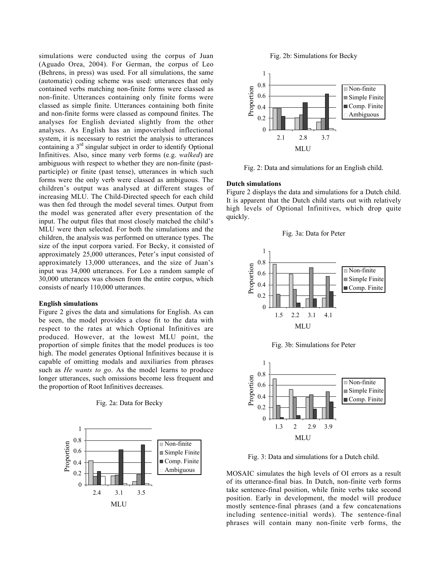simulations were conducted using the corpus of Juan (Aguado Orea, 2004). For German, the corpus of Leo (Behrens, in press) was used. For all simulations, the same (automatic) coding scheme was used: utterances that only contained verbs matching non-finite forms were classed as non-finite. Utterances containing only finite forms were classed as simple finite. Utterances containing both finite and non-finite forms were classed as compound finites. The analyses for English deviated slightly from the other analyses. As English has an impoverished inflectional system, it is necessary to restrict the analysis to utterances containing a  $3<sup>rd</sup>$  singular subject in order to identify Optional Infinitives. Also, since many verb forms (e.g. *walked*) are ambiguous with respect to whether they are non-finite (pastparticiple) or finite (past tense), utterances in which such forms were the only verb were classed as ambiguous. The children's output was analysed at different stages of increasing MLU. The Child-Directed speech for each child was then fed through the model several times. Output from the model was generated after every presentation of the input. The output files that most closely matched the child's MLU were then selected. For both the simulations and the children, the analysis was performed on utterance types. The size of the input corpora varied. For Becky, it consisted of approximately 25,000 utterances, Peter's input consisted of approximately 13,000 utterances, and the size of Juan's input was 34,000 utterances. For Leo a random sample of 30,000 utterances was chosen from the entire corpus, which consists of nearly 110,000 utterances.

## English simulations

Figure 2 gives the data and simulations for English. As can be seen, the model provides a close fit to the data with respect to the rates at which Optional Infinitives are produced. However, at the lowest MLU point, the proportion of simple finites that the model produces is too high. The model generates Optional Infinitives because it is capable of omitting modals and auxiliaries from phrases such as *He wants to go*. As the model learns to produce longer utterances, such omissions become less frequent and the proportion of Root Infinitives decreases.

## Fig. 2a: Data for Becky



Fig. 2b: Simulations for Becky



Fig. 2: Data and simulations for an English child.

## Dutch simulations

Figure 2 displays the data and simulations for a Dutch child. It is apparent that the Dutch child starts out with relatively high levels of Optional Infinitives, which drop quite quickly.





Fig. 3b: Simulations for Peter



Fig. 3: Data and simulations for a Dutch child.

MOSAIC simulates the high levels of OI errors as a result of its utterance-final bias. In Dutch, non-finite verb forms take sentence-final position, while finite verbs take second position. Early in development, the model will produce mostly sentence-final phrases (and a few concatenations including sentence-initial words). The sentence-final phrases will contain many non-finite verb forms, the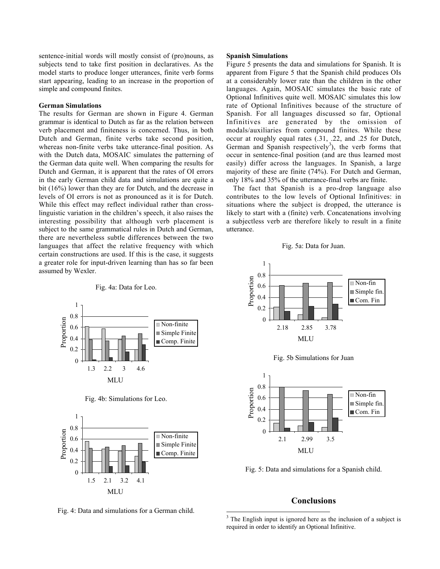sentence-initial words will mostly consist of (pro)nouns, as subjects tend to take first position in declaratives. As the model starts to produce longer utterances, finite verb forms start appearing, leading to an increase in the proportion of simple and compound finites.

#### German Simulations

The results for German are shown in Figure 4. German grammar is identical to Dutch as far as the relation between verb placement and finiteness is concerned. Thus, in both Dutch and German, finite verbs take second position, whereas non-finite verbs take utterance-final position. As with the Dutch data, MOSAIC simulates the patterning of the German data quite well. When comparing the results for Dutch and German, it is apparent that the rates of OI errors in the early German child data and simulations are quite a bit (16%) lower than they are for Dutch, and the decrease in levels of OI errors is not as pronounced as it is for Dutch. While this effect may reflect individual rather than crosslinguistic variation in the children's speech, it also raises the interesting possibility that although verb placement is subject to the same grammatical rules in Dutch and German, there are nevertheless subtle differences between the two languages that affect the relative frequency with which certain constructions are used. If this is the case, it suggests a greater role for input-driven learning than has so far been assumed by Wexler.

#### Fig. 4a: Data for Leo.



Fig. 4b: Simulations for Leo.



Fig. 4: Data and simulations for a German child.

#### Spanish Simulations

Figure 5 presents the data and simulations for Spanish. It is apparent from Figure 5 that the Spanish child produces OIs at a considerably lower rate than the children in the other languages. Again, MOSAIC simulates the basic rate of Optional Infinitives quite well. MOSAIC simulates this low rate of Optional Infinitives because of the structure of Spanish. For all languages discussed so far, Optional Infinitives are generated by the omission of modals/auxiliaries from compound finites. While these occur at roughly equal rates (.31, .22, and .25 for Dutch, German and Spanish respectively<sup>3</sup>), the verb forms that occur in sentence-final position (and are thus learned most easily) differ across the languages. In Spanish, a large majority of these are finite (74%). For Dutch and German, only 18% and 35% of the utterance-final verbs are finite.

The fact that Spanish is a pro-drop language also contributes to the low levels of Optional Infinitives: in situations where the subject is dropped, the utterance is likely to start with a (finite) verb. Concatenations involving a subjectless verb are therefore likely to result in a finite utterance.









Fig. 5: Data and simulations for a Spanish child.

## Conclusions

<sup>&</sup>lt;sup>3</sup> The English input is ignored here as the inclusion of a subject is required in order to identify an Optional Infinitive.